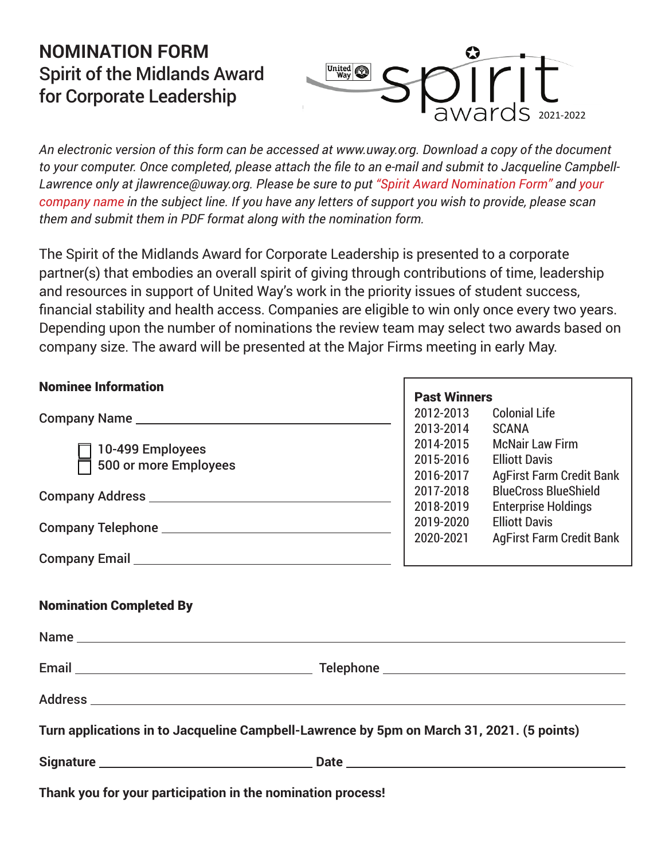## NOMINATION FORM **NOMINATION FORM** *Spirit of the Midlands Award* Spirit of the Midlands Award *For Corporate Leadership* for Corporate Leadership



*An electronic version of this form can be accessed at www.uway.org. Download a copy of the document to your computer. Once completed, please attach the file to an e-mail and submit to Jacqueline Campbell-Lawrence only at jlawrence@uway.org. Please be sure to put "Spirit Award Nomination Form" and your company name in the subject line. If you have any letters of support you wish to provide, please scan them and submit them in PDF format along with the nomination form.*

The Spirit of the Midlands Award for Corporate Leadership is presented to a corporate partner(s) that embodies an overall spirit of giving through contributions of time, leadership and resources in support of United Way's work in the priority issues of student success, financial stability and health access. Companies are eligible to win only once every two years. Depending upon the number of nominations the review team may select two awards based on company size. The award will be presented at the Major Firms meeting in early May.

| <b>Nominee Information</b>                                                                | <b>Past Winners</b>                 |                                                                                   |
|-------------------------------------------------------------------------------------------|-------------------------------------|-----------------------------------------------------------------------------------|
|                                                                                           | 2012-2013<br>2013-2014              | <b>Colonial Life</b><br><b>SCANA</b>                                              |
| 10-499 Employees<br>500 or more Employees                                                 | 2014-2015<br>2015-2016<br>2016-2017 | <b>McNair Law Firm</b><br><b>Elliott Davis</b><br><b>AgFirst Farm Credit Bank</b> |
|                                                                                           | 2017-2018<br>2018-2019              | <b>BlueCross BlueShield</b><br><b>Enterprise Holdings</b>                         |
|                                                                                           | 2019-2020<br>2020-2021              | <b>Elliott Davis</b><br><b>AgFirst Farm Credit Bank</b>                           |
|                                                                                           |                                     |                                                                                   |
| <b>Nomination Completed By</b>                                                            |                                     |                                                                                   |
|                                                                                           |                                     |                                                                                   |
|                                                                                           |                                     |                                                                                   |
| Turn applications in to Jacqueline Campbell-Lawrence by 5pm on March 31, 2021. (5 points) |                                     |                                                                                   |
|                                                                                           |                                     |                                                                                   |
| Thank you for your participation in the nomination process!                               |                                     |                                                                                   |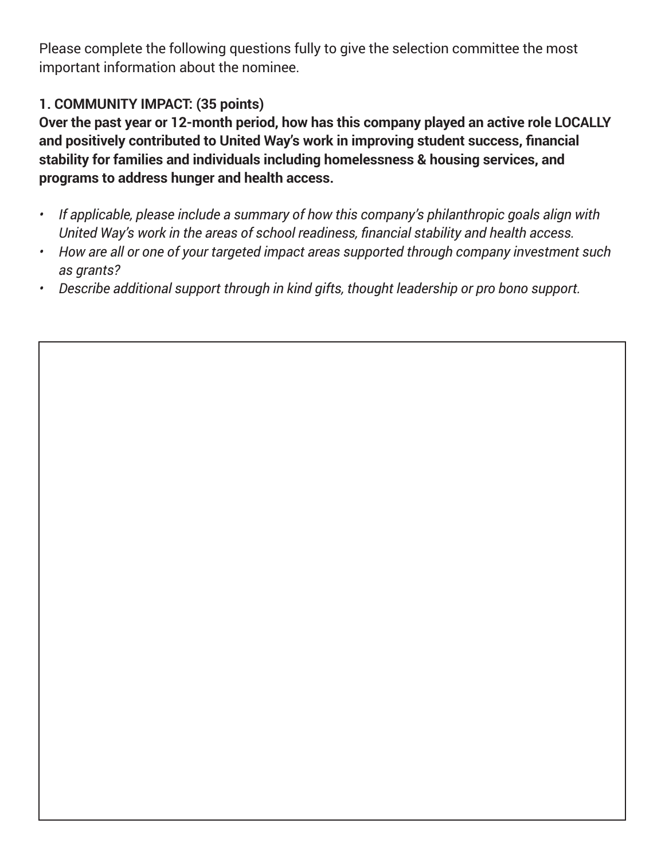Please complete the following questions fully to give the selection committee the most important information about the nominee.

## **1. COMMUNITY IMPACT: (35 points)**

**Over the past year or 12-month period, how has this company played an active role LOCALLY and positively contributed to United Way's work in improving student success, financial stability for families and individuals including homelessness & housing services, and programs to address hunger and health access.**

- *• If applicable, please include a summary of how this company's philanthropic goals align with United Way's work in the areas of school readiness, financial stability and health access.*
- *• How are all or one of your targeted impact areas supported through company investment such as grants?*
- *• Describe additional support through in kind gifts, thought leadership or pro bono support.*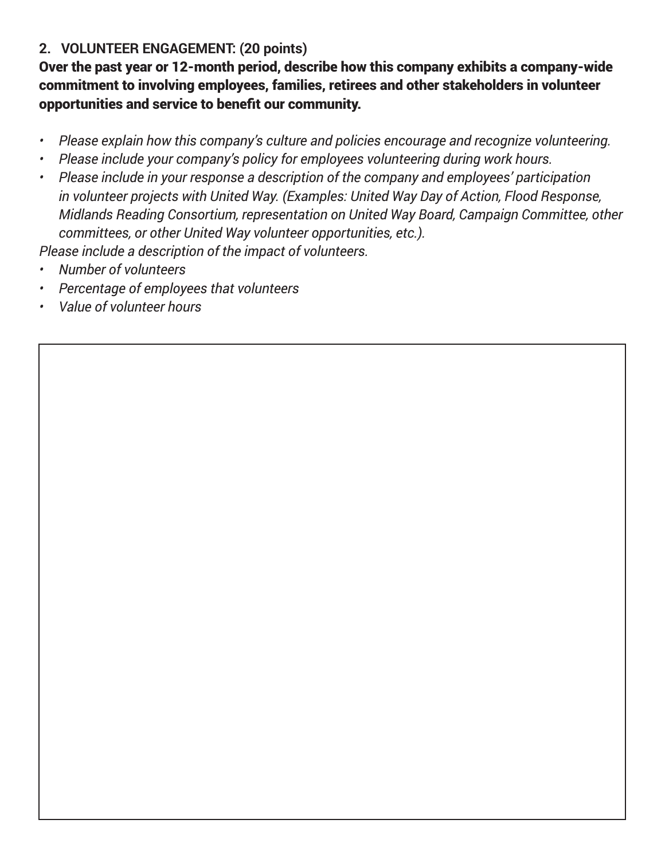## **2. VOLUNTEER ENGAGEMENT: (20 points)**

Over the past year or 12-month period, describe how this company exhibits a company-wide commitment to involving employees, families, retirees and other stakeholders in volunteer opportunities and service to benefit our community.

- *• Please explain how this company's culture and policies encourage and recognize volunteering.*
- *• Please include your company's policy for employees volunteering during work hours.*
- *• Please include in your response a description of the company and employees' participation in volunteer projects with United Way. (Examples: United Way Day of Action, Flood Response, Midlands Reading Consortium, representation on United Way Board, Campaign Committee, other committees, or other United Way volunteer opportunities, etc.).*

*Please include a description of the impact of volunteers.*

- *• Number of volunteers*
- *• Percentage of employees that volunteers*
- *• Value of volunteer hours*